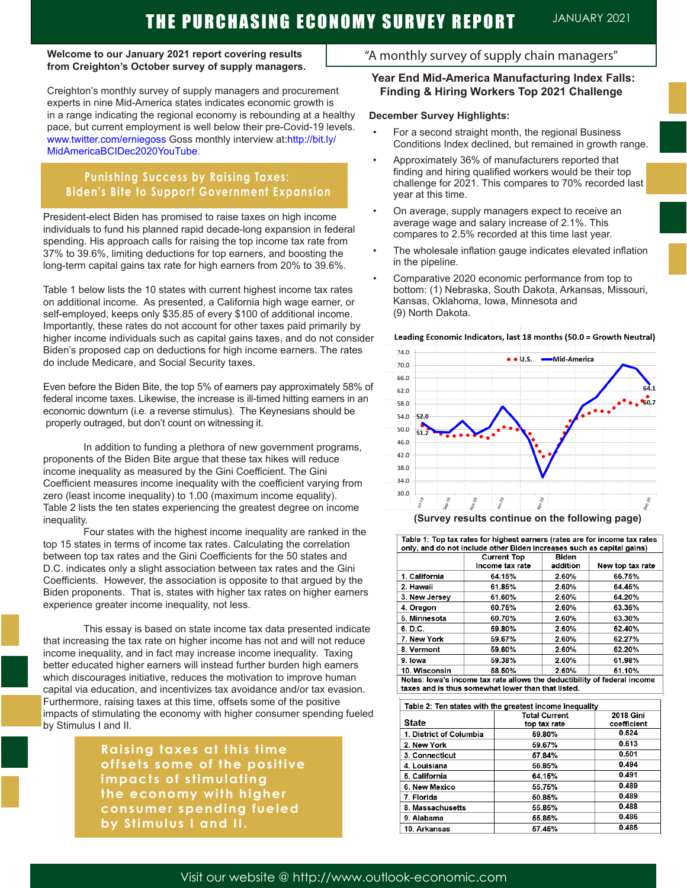# THE PURCHASING ECONOMY SURVEY REPORT JANUARY 2021

#### **Welcome to our January 2021 report covering results from Creighton's October survey of supply managers.**

ī

Creighton's monthly survey of supply managers and procurement experts in nine Mid-America states indicates economic growth is in a range indicating the regional economy is rebounding at a healthy pace, but current employment is well below their pre-Covid-19 levels. www.twitter.com/erniegoss Goss monthly interview at:http://bit.ly/ MidAmericaBCIDec2020YouTube.

# **Punishing Success by Raising Taxes: Biden's Bite to Support Government Expansion**

President-elect Biden has promised to raise taxes on high income individuals to fund his planned rapid decade-long expansion in federal spending. His approach calls for raising the top income tax rate from 37% to 39.6%, limiting deductions for top earners, and boosting the long-term capital gains tax rate for high earners from 20% to 39.6%.

Table 1 below lists the 10 states with current highest income tax rates on additional income. As presented, a California high wage earner, or self-employed, keeps only \$35.85 of every \$100 of additional income. Importantly, these rates do not account for other taxes paid primarily by higher income individuals such as capital gains taxes, and do not consider Biden's proposed cap on deductions for high income earners. The rates do include Medicare, and Social Security taxes.

Even before the Biden Bite, the top 5% of earners pay approximately 58% of federal income taxes. Likewise, the increase is ill-timed hitting earners in an economic downturn (i.e. a reverse stimulus). The Keynesians should be properly outraged, but don't count on witnessing it.

In addition to funding a plethora of new government programs, proponents of the Biden Bite argue that these tax hikes will reduce income inequality as measured by the Gini Coefficient. The Gini Coefficient measures income inequality with the coefficient varying from zero (least income inequality) to 1.00 (maximum income equality). Table 2 lists the ten states experiencing the greatest degree on income inequality.

Four states with the highest income inequality are ranked in the top 15 states in terms of income tax rates. Calculating the correlation between top tax rates and the Gini Coefficients for the 50 states and D.C. indicates only a slight association between tax rates and the Gini Coefficients. However, the association is opposite to that argued by the Biden proponents. That is, states with higher tax rates on higher earners experience greater income inequality, not less.

This essay is based on state income tax data presented indicate that increasing the tax rate on higher income has not and will not reduce income inequality, and in fact may increase income inequality. Taxing better educated higher earners will instead further burden high earners which discourages initiative, reduces the motivation to improve human capital via education, and incentivizes tax avoidance and/or tax evasion. Furthermore, raising taxes at this time, offsets some of the positive impacts of stimulating the economy with higher consumer spending fueled by Stimulus I and II.

> **Raising taxes at this time offsets some of the positive impacts of stimulating the economy with higher consumer spending fueled by Stimulus I and II.**

# "A monthly survey of supply chain managers"

#### **Year End Mid-America Manufacturing Index Falls: Finding & Hiring Workers Top 2021 Challenge**

#### **December Survey Highlights:**

- For a second straight month, the regional Business Conditions Index declined, but remained in growth range.
- Approximately 36% of manufacturers reported that finding and hiring qualified workers would be their top challenge for 2021. This compares to 70% recorded last year at this time.
- On average, supply managers expect to receive an average wage and salary increase of 2.1%. This compares to 2.5% recorded at this time last year.
- The wholesale inflation gauge indicates elevated inflation in the pipeline.
- Comparative 2020 economic performance from top to bottom: (1) Nebraska, South Dakota, Arkansas, Missouri, Kansas, Oklahoma, Iowa, Minnesota and (9) North Dakota.





|  |  |  |  |  | (Survey results continue on the following page) |  |
|--|--|--|--|--|-------------------------------------------------|--|
|--|--|--|--|--|-------------------------------------------------|--|

|               | <b>Current Top</b><br>Income tax rate | Biden<br>addition | New top tax rate |
|---------------|---------------------------------------|-------------------|------------------|
| 1. California | 64.15%                                | 2.60%             | 66.75%           |
| 2. Hawaii     | 61.85%                                | 2.60%             | 64.45%           |
| 3. New Jersey | 61.60%                                | 2.60%             | 64.20%           |
| 4. Oregon     | 60.75%                                | 2.60%             | 63.35%           |
| 5. Minnesota  | 60.70%                                | 2.60%             | 63.30%           |
| 6. D.C.       | 59.80%                                | 2.60%             | 62.40%           |
| 7. New York   | 59.67%                                | 2.60%             | 62.27%           |
| 8. Vermont    | 59.60%                                | 2.60%             | 62.20%           |
| 9. Iowa       | 59.38%                                | 2.60%             | 61.98%           |
| 10. Wisconsin | 58.50%                                | 2.60%             | 61.10%           |

| Table 2: Ten states with the greatest income inequality |                      |                  |  |  |  |  |
|---------------------------------------------------------|----------------------|------------------|--|--|--|--|
|                                                         | <b>Total Current</b> | <b>2018 Gini</b> |  |  |  |  |
| State                                                   | top tax rate         | coefficient      |  |  |  |  |
| 1. District of Columbia                                 | 59.80%               | 0.524            |  |  |  |  |
| 2. New York                                             | 59.67%               | 0.513            |  |  |  |  |
| 3. Connecticut                                          | 57.84%               | 0.501            |  |  |  |  |
| 4. Louisiana                                            | 56.85%               | 0.494            |  |  |  |  |
| 5. California                                           | 64.15%               | 0.491            |  |  |  |  |
| 6. New Mexico                                           | 55.75%               | 0.489            |  |  |  |  |
| 7. Florida                                              | 50.85%               | 0.489            |  |  |  |  |
| 8. Massachusetts                                        | 55.85%               | 0.488            |  |  |  |  |
| 9. Alabama                                              | 55.85%               | 0.486            |  |  |  |  |
| 10. Arkansas                                            | 57.45%               | 0.485            |  |  |  |  |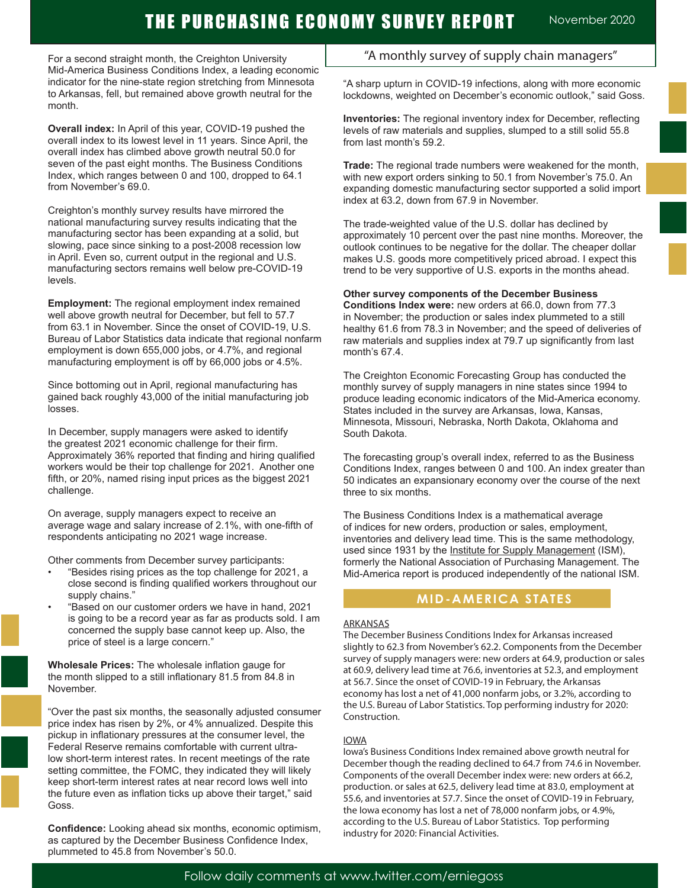# THE PURCHASING ECONOMY SURVEY REPORT November 2020

For a second straight month, the Creighton University Mid-America Business Conditions Index, a leading economic indicator for the nine-state region stretching from Minnesota to Arkansas, fell, but remained above growth neutral for the month.

**Overall index:** In April of this year, COVID-19 pushed the overall index to its lowest level in 11 years. Since April, the overall index has climbed above growth neutral 50.0 for seven of the past eight months. The Business Conditions Index, which ranges between 0 and 100, dropped to 64.1 from November's 69.0.

Creighton's monthly survey results have mirrored the national manufacturing survey results indicating that the manufacturing sector has been expanding at a solid, but slowing, pace since sinking to a post-2008 recession low in April. Even so, current output in the regional and U.S. manufacturing sectors remains well below pre-COVID-19 levels.

**Employment:** The regional employment index remained well above growth neutral for December, but fell to 57.7 from 63.1 in November. Since the onset of COVID-19, U.S. Bureau of Labor Statistics data indicate that regional nonfarm employment is down 655,000 jobs, or 4.7%, and regional manufacturing employment is off by 66,000 jobs or 4.5%.

Since bottoming out in April, regional manufacturing has gained back roughly 43,000 of the initial manufacturing job losses.

In December, supply managers were asked to identify the greatest 2021 economic challenge for their firm. Approximately 36% reported that finding and hiring qualified workers would be their top challenge for 2021. Another one fifth, or 20%, named rising input prices as the biggest 2021 challenge.

On average, supply managers expect to receive an average wage and salary increase of 2.1%, with one-fifth of respondents anticipating no 2021 wage increase.

Other comments from December survey participants:

- "Besides rising prices as the top challenge for 2021, a close second is finding qualified workers throughout our supply chains."
- "Based on our customer orders we have in hand, 2021 is going to be a record year as far as products sold. I am concerned the supply base cannot keep up. Also, the price of steel is a large concern."

**Wholesale Prices:** The wholesale inflation gauge for the month slipped to a still inflationary 81.5 from 84.8 in November.

"Over the past six months, the seasonally adjusted consumer price index has risen by 2%, or 4% annualized. Despite this pickup in inflationary pressures at the consumer level, the Federal Reserve remains comfortable with current ultralow short-term interest rates. In recent meetings of the rate setting committee, the FOMC, they indicated they will likely keep short-term interest rates at near record lows well into the future even as inflation ticks up above their target," said Goss.

**Confidence:** Looking ahead six months, economic optimism, as captured by the December Business Confidence Index, plummeted to 45.8 from November's 50.0.

# "A monthly survey of supply chain managers"

"A sharp upturn in COVID-19 infections, along with more economic lockdowns, weighted on December's economic outlook," said Goss.

**Inventories:** The regional inventory index for December, reflecting levels of raw materials and supplies, slumped to a still solid 55.8 from last month's 59.2.

**Trade:** The regional trade numbers were weakened for the month, with new export orders sinking to 50.1 from November's 75.0. An expanding domestic manufacturing sector supported a solid import index at 63.2, down from 67.9 in November.

The trade-weighted value of the U.S. dollar has declined by approximately 10 percent over the past nine months. Moreover, the outlook continues to be negative for the dollar. The cheaper dollar makes U.S. goods more competitively priced abroad. I expect this trend to be very supportive of U.S. exports in the months ahead.

#### **Other survey components of the December Business**

**Conditions Index were:** new orders at 66.0, down from 77.3 in November; the production or sales index plummeted to a still healthy 61.6 from 78.3 in November; and the speed of deliveries of raw materials and supplies index at 79.7 up significantly from last month's 67.4.

The Creighton Economic Forecasting Group has conducted the monthly survey of supply managers in nine states since 1994 to produce leading economic indicators of the Mid-America economy. States included in the survey are Arkansas, Iowa, Kansas, Minnesota, Missouri, Nebraska, North Dakota, Oklahoma and South Dakota.

The forecasting group's overall index, referred to as the Business Conditions Index, ranges between 0 and 100. An index greater than 50 indicates an expansionary economy over the course of the next three to six months.

The Business Conditions Index is a mathematical average of indices for new orders, production or sales, employment, inventories and delivery lead time. This is the same methodology, used since 1931 by the Institute for Supply Management (ISM), formerly the National Association of Purchasing Management. The Mid-America report is produced independently of the national ISM.

# **MID-AMERICA STATES**

#### ARKANSAS

The December Business Conditions Index for Arkansas increased slightly to 62.3 from November's 62.2. Components from the December survey of supply managers were: new orders at 64.9, production or sales at 60.9, delivery lead time at 76.6, inventories at 52.3, and employment at 56.7. Since the onset of COVID-19 in February, the Arkansas economy has lost a net of 41,000 nonfarm jobs, or 3.2%, according to the U.S. Bureau of Labor Statistics. Top performing industry for 2020: Construction.

#### IOWA

Iowa's Business Conditions Index remained above growth neutral for December though the reading declined to 64.7 from 74.6 in November. Components of the overall December index were: new orders at 66.2, production. or sales at 62.5, delivery lead time at 83.0, employment at 55.6, and inventories at 57.7. Since the onset of COVID-19 in February, the Iowa economy has lost a net of 78,000 nonfarm jobs, or 4.9%, according to the U.S. Bureau of Labor Statistics. Top performing industry for 2020: Financial Activities.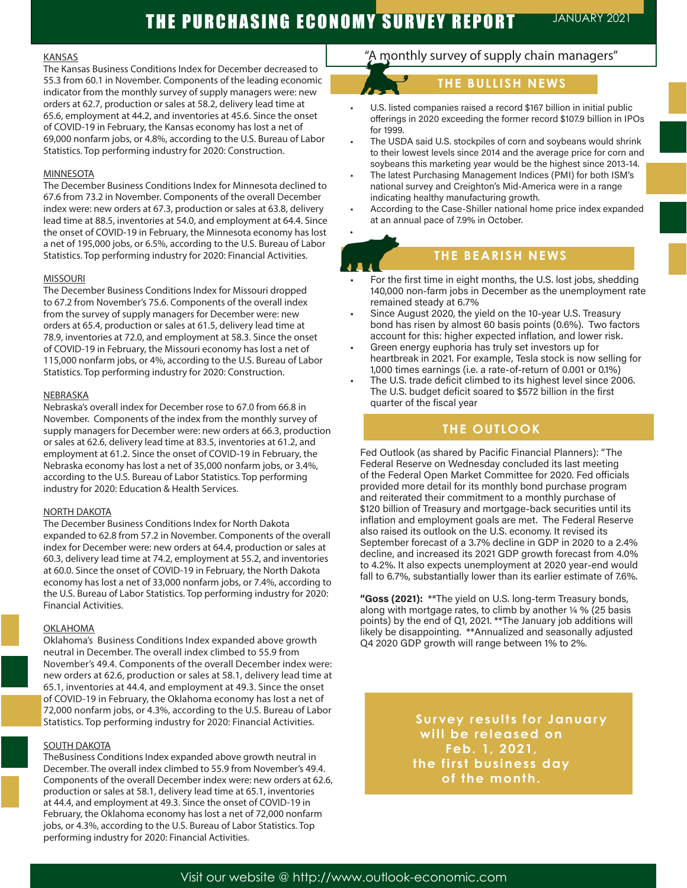#### **KANSAS**

The Kansas Business Conditions Index for December decreased to 55.3 from 60.1 in November. Components of the leading economic indicator from the monthly survey of supply managers were: new orders at 62.7, production or sales at 58.2, delivery lead time at 65.6, employment at 44.2, and inventories at 45.6. Since the onset of COVID-19 in February, the Kansas economy has lost a net of 69,000 nonfarm jobs, or 4.8%, according to the U.S. Bureau of Labor Statistics. Top performing industry for 2020: Construction.

#### MINNESOTA

The December Business Conditions Index for Minnesota declined to 67.6 from 73.2 in November. Components of the overall December index were: new orders at 67.3, production or sales at 63.8, delivery lead time at 88.5, inventories at 54.0, and employment at 64.4. Since the onset of COVID-19 in February, the Minnesota economy has lost a net of 195,000 jobs, or 6.5%, according to the U.S. Bureau of Labor Statistics. Top performing industry for 2020: Financial Activities.

#### MISSOURI

The December Business Conditions Index for Missouri dropped to 67.2 from November's 75.6. Components of the overall index from the survey of supply managers for December were: new orders at 65.4, production or sales at 61.5, delivery lead time at 78.9, inventories at 72.0, and employment at 58.3. Since the onset of COVID-19 in February, the Missouri economy has lost a net of 115,000 nonfarm jobs, or 4%, according to the U.S. Bureau of Labor Statistics. Top performing industry for 2020: Construction.

#### NEBRASKA

Nebraska's overall index for December rose to 67.0 from 66.8 in November. Components of the index from the monthly survey of supply managers for December were: new orders at 66.3, production or sales at 62.6, delivery lead time at 83.5, inventories at 61.2, and employment at 61.2. Since the onset of COVID-19 in February, the Nebraska economy has lost a net of 35,000 nonfarm jobs, or 3.4%, according to the U.S. Bureau of Labor Statistics. Top performing industry for 2020: Education & Health Services.

#### NORTH DAKOTA

The December Business Conditions Index for North Dakota expanded to 62.8 from 57.2 in November. Components of the overall index for December were: new orders at 64.4, production or sales at 60.3, delivery lead time at 74.2, employment at 55.2, and inventories at 60.0. Since the onset of COVID-19 in February, the North Dakota economy has lost a net of 33,000 nonfarm jobs, or 7.4%, according to the U.S. Bureau of Labor Statistics. Top performing industry for 2020: Financial Activities.

#### **OKLAHOMA**

Oklahoma's Business Conditions Index expanded above growth neutral in December. The overall index climbed to 55.9 from November's 49.4. Components of the overall December index were: new orders at 62.6, production or sales at 58.1, delivery lead time at 65.1, inventories at 44.4, and employment at 49.3. Since the onset of COVID-19 in February, the Oklahoma economy has lost a net of 72,000 nonfarm jobs, or 4.3%, according to the U.S. Bureau of Labor Statistics. Top performing industry for 2020: Financial Activities.

#### **SOUTH DAKOTA**

TheBusiness Conditions Index expanded above growth neutral in December. The overall index climbed to 55.9 from November's 49.4. Components of the overall December index were: new orders at 62.6, production or sales at 58.1, delivery lead time at 65.1, inventories at 44.4, and employment at 49.3. Since the onset of COVID-19 in February, the Oklahoma economy has lost a net of 72,000 nonfarm jobs, or 4.3%, according to the U.S. Bureau of Labor Statistics. Top performing industry for 2020: Financial Activities.

# "A monthly survey of supply chain managers"

# **THE BULLISH NEWS**

- U.S. listed companies raised a record \$167 billion in initial public offerings in 2020 exceeding the former record \$107.9 billion in IPOs for 1999.
- The USDA said U.S. stockpiles of corn and soybeans would shrink to their lowest levels since 2014 and the average price for corn and soybeans this marketing year would be the highest since 2013-14.
- The latest Purchasing Management Indices (PMI) for both ISM's national survey and Creighton's Mid-America were in a range indicating healthy manufacturing growth.
- According to the Case-Shiller national home price index expanded at an annual pace of 7.9% in October.

# •

# **THE BEARISH NEWS**

- For the first time in eight months, the U.S. lost jobs, shedding 140,000 non-farm jobs in December as the unemployment rate remained steady at 6.7%
- Since August 2020, the yield on the 10-year U.S. Treasury bond has risen by almost 60 basis points (0.6%). Two factors account for this: higher expected inflation, and lower risk.
- Green energy euphoria has truly set investors up for heartbreak in 2021. For example, Tesla stock is now selling for 1,000 times earnings (i.e. a rate-of-return of 0.001 or 0.1%)
- The U.S. trade deficit climbed to its highest level since 2006. The U.S. budget deficit soared to \$572 billion in the first quarter of the fiscal year

# **THE OUTLOOK**

Fed Outlook (as shared by Pacific Financial Planners): "The Federal Reserve on Wednesday concluded its last meeting of the Federal Open Market Committee for 2020. Fed officials provided more detail for its monthly bond purchase program and reiterated their commitment to a monthly purchase of \$120 billion of Treasury and mortgage-back securities until its inflation and employment goals are met. The Federal Reserve also raised its outlook on the U.S. economy. It revised its September forecast of a 3.7% decline in GDP in 2020 to a 2.4% decline, and increased its 2021 GDP growth forecast from 4.0% to 4.2%. It also expects unemployment at 2020 year-end would fall to 6.7%, substantially lower than its earlier estimate of 7.6%.

**"Goss (2021):** \*\*The yield on U.S. long-term Treasury bonds, along with mortgage rates, to climb by another ¼ % (25 basis points) by the end of Q1, 2021. \*\*The January job additions will likely be disappointing. \*\*Annualized and seasonally adjusted Q4 2020 GDP growth will range between 1% to 2%.

**KEEP AN EXECUTE AND MILLIPED BETTER Survey results for January Feb. 1, 2021, the first business day of the month.**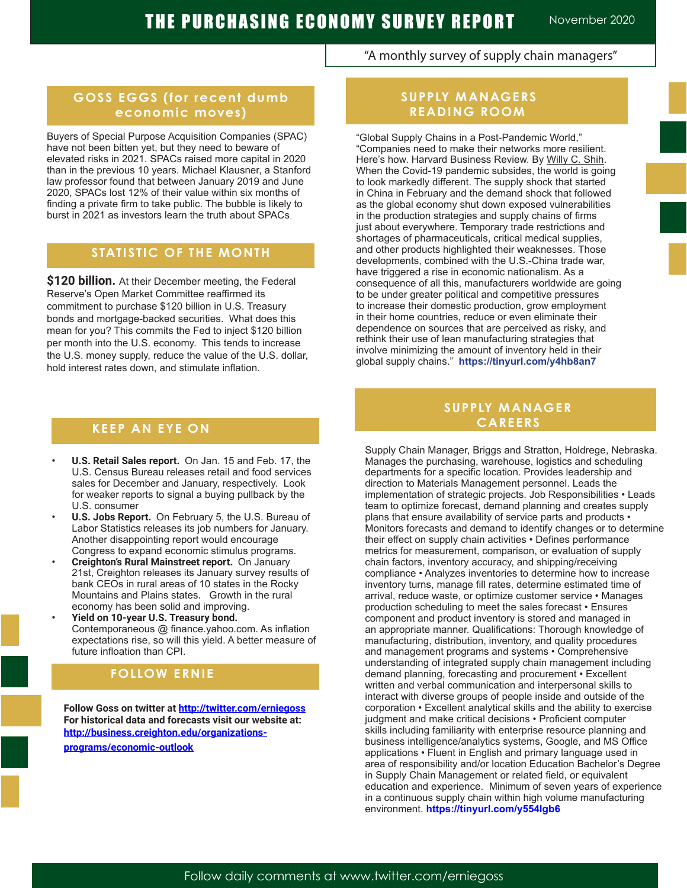# "A monthly survey of supply chain managers"

# **GOSS EGGS (for recent dumb economic moves)**

Buyers of Special Purpose Acquisition Companies (SPAC) have not been bitten yet, but they need to beware of elevated risks in 2021. SPACs raised more capital in 2020 than in the previous 10 years. Michael Klausner, a Stanford law professor found that between January 2019 and June 2020, SPACs lost 12% of their value within six months of finding a private firm to take public. The bubble is likely to burst in 2021 as investors learn the truth about SPACs.

### **STATISTIC OF THE MONTH**

**\$120 billion.** At their December meeting, the Federal Reserve's Open Market Committee reaffirmed its commitment to purchase \$120 billion in U.S. Treasury bonds and mortgage-backed securities. What does this mean for you? This commits the Fed to inject \$120 billion per month into the U.S. economy. This tends to increase the U.S. money supply, reduce the value of the U.S. dollar, hold interest rates down, and stimulate inflation.

### **KEEP AN EYE ON**

- **• U.S. Retail Sales report.** On Jan. 15 and Feb. 17, the U.S. Census Bureau releases retail and food services sales for December and January, respectively. Look for weaker reports to signal a buying pullback by the U.S. consumer
- **• U.S. Jobs Report.** On February 5, the U.S. Bureau of Labor Statistics releases its job numbers for January. Another disappointing report would encourage Congress to expand economic stimulus programs.
- **• Creighton's Rural Mainstreet report.** On January 21st, Creighton releases its January survey results of bank CEOs in rural areas of 10 states in the Rocky Mountains and Plains states. Growth in the rural economy has been solid and improving.
- **• Yield on 10-year U.S. Treasury bond.**  Contemporaneous @ finance.yahoo.com. As inflation expectations rise, so will this yield. A better measure of future infloation than CPI.

### **FOLLOW ERNIE A FOLLOW ERNIE**

**Follow Goss on twitter at http://twitter.com/erniegoss For historical data and forecasts visit our website at: http://business.creighton.edu/organizationsprograms/economic-outlook** 

# **SUPPLY MANAGERS READING ROOM**

"Global Supply Chains in a Post-Pandemic World," "Companies need to make their networks more resilient. Here's how. Harvard Business Review. By Willy C. Shih. When the Covid-19 pandemic subsides, the world is going to look markedly different. The supply shock that started in China in February and the demand shock that followed as the global economy shut down exposed vulnerabilities in the production strategies and supply chains of firms just about everywhere. Temporary trade restrictions and shortages of pharmaceuticals, critical medical supplies, and other products highlighted their weaknesses. Those developments, combined with the U.S.-China trade war, have triggered a rise in economic nationalism. As a consequence of all this, manufacturers worldwide are going to be under greater political and competitive pressures to increase their domestic production, grow employment in their home countries, reduce or even eliminate their dependence on sources that are perceived as risky, and rethink their use of lean manufacturing strategies that involve minimizing the amount of inventory held in their global supply chains." **https://tinyurl.com/y4hb8an7**

# **SUPPLY MANAGER CAREERS**

Supply Chain Manager, Briggs and Stratton, Holdrege, Nebraska. Manages the purchasing, warehouse, logistics and scheduling departments for a specific location. Provides leadership and direction to Materials Management personnel. Leads the implementation of strategic projects. Job Responsibilities • Leads team to optimize forecast, demand planning and creates supply plans that ensure availability of service parts and products • Monitors forecasts and demand to identify changes or to determine their effect on supply chain activities • Defines performance metrics for measurement, comparison, or evaluation of supply chain factors, inventory accuracy, and shipping/receiving compliance • Analyzes inventories to determine how to increase inventory turns, manage fill rates, determine estimated time of arrival, reduce waste, or optimize customer service • Manages production scheduling to meet the sales forecast • Ensures component and product inventory is stored and managed in an appropriate manner. Qualifications: Thorough knowledge of manufacturing, distribution, inventory, and quality procedures and management programs and systems • Comprehensive understanding of integrated supply chain management including demand planning, forecasting and procurement • Excellent written and verbal communication and interpersonal skills to interact with diverse groups of people inside and outside of the corporation • Excellent analytical skills and the ability to exercise judgment and make critical decisions • Proficient computer skills including familiarity with enterprise resource planning and business intelligence/analytics systems, Google, and MS Office applications • Fluent in English and primary language used in area of responsibility and/or location Education Bachelor's Degree in Supply Chain Management or related field, or equivalent education and experience. Minimum of seven years of experience in a continuous supply chain within high volume manufacturing environment. **https://tinyurl.com/y554lgb6**